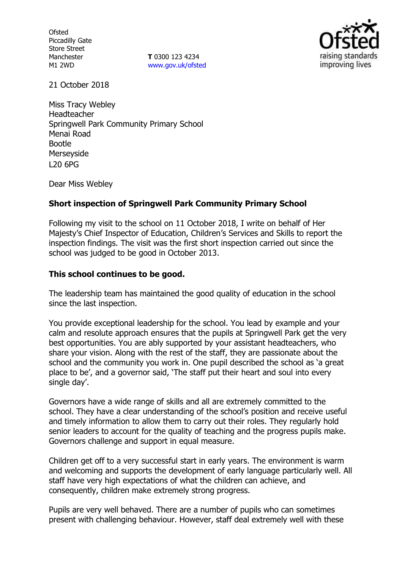**Ofsted** Piccadilly Gate Store Street Manchester M1 2WD

**T** 0300 123 4234 www.gov.uk/ofsted



21 October 2018

Miss Tracy Webley Headteacher Springwell Park Community Primary School Menai Road Bootle Merseyside L20 6PG

Dear Miss Webley

# **Short inspection of Springwell Park Community Primary School**

Following my visit to the school on 11 October 2018, I write on behalf of Her Majesty's Chief Inspector of Education, Children's Services and Skills to report the inspection findings. The visit was the first short inspection carried out since the school was judged to be good in October 2013.

## **This school continues to be good.**

The leadership team has maintained the good quality of education in the school since the last inspection.

You provide exceptional leadership for the school. You lead by example and your calm and resolute approach ensures that the pupils at Springwell Park get the very best opportunities. You are ably supported by your assistant headteachers, who share your vision. Along with the rest of the staff, they are passionate about the school and the community you work in. One pupil described the school as 'a great place to be', and a governor said, 'The staff put their heart and soul into every single day'.

Governors have a wide range of skills and all are extremely committed to the school. They have a clear understanding of the school's position and receive useful and timely information to allow them to carry out their roles. They regularly hold senior leaders to account for the quality of teaching and the progress pupils make. Governors challenge and support in equal measure.

Children get off to a very successful start in early years. The environment is warm and welcoming and supports the development of early language particularly well. All staff have very high expectations of what the children can achieve, and consequently, children make extremely strong progress.

Pupils are very well behaved. There are a number of pupils who can sometimes present with challenging behaviour. However, staff deal extremely well with these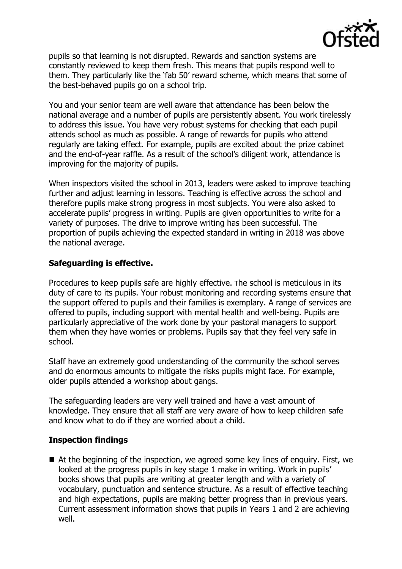

pupils so that learning is not disrupted. Rewards and sanction systems are constantly reviewed to keep them fresh. This means that pupils respond well to them. They particularly like the 'fab 50' reward scheme, which means that some of the best-behaved pupils go on a school trip.

You and your senior team are well aware that attendance has been below the national average and a number of pupils are persistently absent. You work tirelessly to address this issue. You have very robust systems for checking that each pupil attends school as much as possible. A range of rewards for pupils who attend regularly are taking effect. For example, pupils are excited about the prize cabinet and the end-of-year raffle. As a result of the school's diligent work, attendance is improving for the majority of pupils.

When inspectors visited the school in 2013, leaders were asked to improve teaching further and adjust learning in lessons. Teaching is effective across the school and therefore pupils make strong progress in most subjects. You were also asked to accelerate pupils' progress in writing. Pupils are given opportunities to write for a variety of purposes. The drive to improve writing has been successful. The proportion of pupils achieving the expected standard in writing in 2018 was above the national average.

## **Safeguarding is effective.**

Procedures to keep pupils safe are highly effective. The school is meticulous in its duty of care to its pupils. Your robust monitoring and recording systems ensure that the support offered to pupils and their families is exemplary. A range of services are offered to pupils, including support with mental health and well-being. Pupils are particularly appreciative of the work done by your pastoral managers to support them when they have worries or problems. Pupils say that they feel very safe in school.

Staff have an extremely good understanding of the community the school serves and do enormous amounts to mitigate the risks pupils might face. For example, older pupils attended a workshop about gangs.

The safeguarding leaders are very well trained and have a vast amount of knowledge. They ensure that all staff are very aware of how to keep children safe and know what to do if they are worried about a child.

### **Inspection findings**

 At the beginning of the inspection, we agreed some key lines of enquiry. First, we looked at the progress pupils in key stage 1 make in writing. Work in pupils' books shows that pupils are writing at greater length and with a variety of vocabulary, punctuation and sentence structure. As a result of effective teaching and high expectations, pupils are making better progress than in previous years. Current assessment information shows that pupils in Years 1 and 2 are achieving well.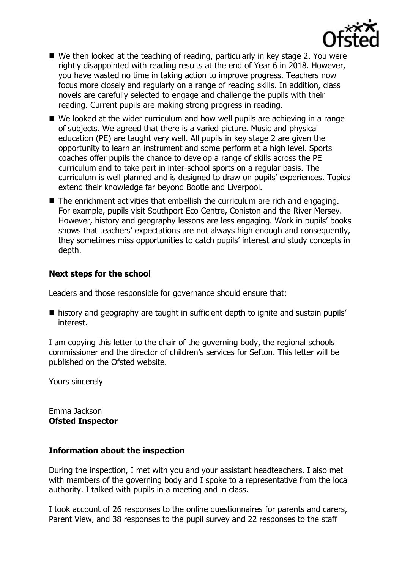

- We then looked at the teaching of reading, particularly in key stage 2. You were rightly disappointed with reading results at the end of Year 6 in 2018. However, you have wasted no time in taking action to improve progress. Teachers now focus more closely and regularly on a range of reading skills. In addition, class novels are carefully selected to engage and challenge the pupils with their reading. Current pupils are making strong progress in reading.
- We looked at the wider curriculum and how well pupils are achieving in a range of subjects. We agreed that there is a varied picture. Music and physical education (PE) are taught very well. All pupils in key stage 2 are given the opportunity to learn an instrument and some perform at a high level. Sports coaches offer pupils the chance to develop a range of skills across the PE curriculum and to take part in inter-school sports on a regular basis. The curriculum is well planned and is designed to draw on pupils' experiences. Topics extend their knowledge far beyond Bootle and Liverpool.
- The enrichment activities that embellish the curriculum are rich and engaging. For example, pupils visit Southport Eco Centre, Coniston and the River Mersey. However, history and geography lessons are less engaging. Work in pupils' books shows that teachers' expectations are not always high enough and consequently, they sometimes miss opportunities to catch pupils' interest and study concepts in depth.

### **Next steps for the school**

Leaders and those responsible for governance should ensure that:

 $\blacksquare$  history and geography are taught in sufficient depth to ignite and sustain pupils' interest.

I am copying this letter to the chair of the governing body, the regional schools commissioner and the director of children's services for Sefton. This letter will be published on the Ofsted website.

Yours sincerely

Emma Jackson **Ofsted Inspector**

#### **Information about the inspection**

During the inspection, I met with you and your assistant headteachers. I also met with members of the governing body and I spoke to a representative from the local authority. I talked with pupils in a meeting and in class.

I took account of 26 responses to the online questionnaires for parents and carers, Parent View, and 38 responses to the pupil survey and 22 responses to the staff